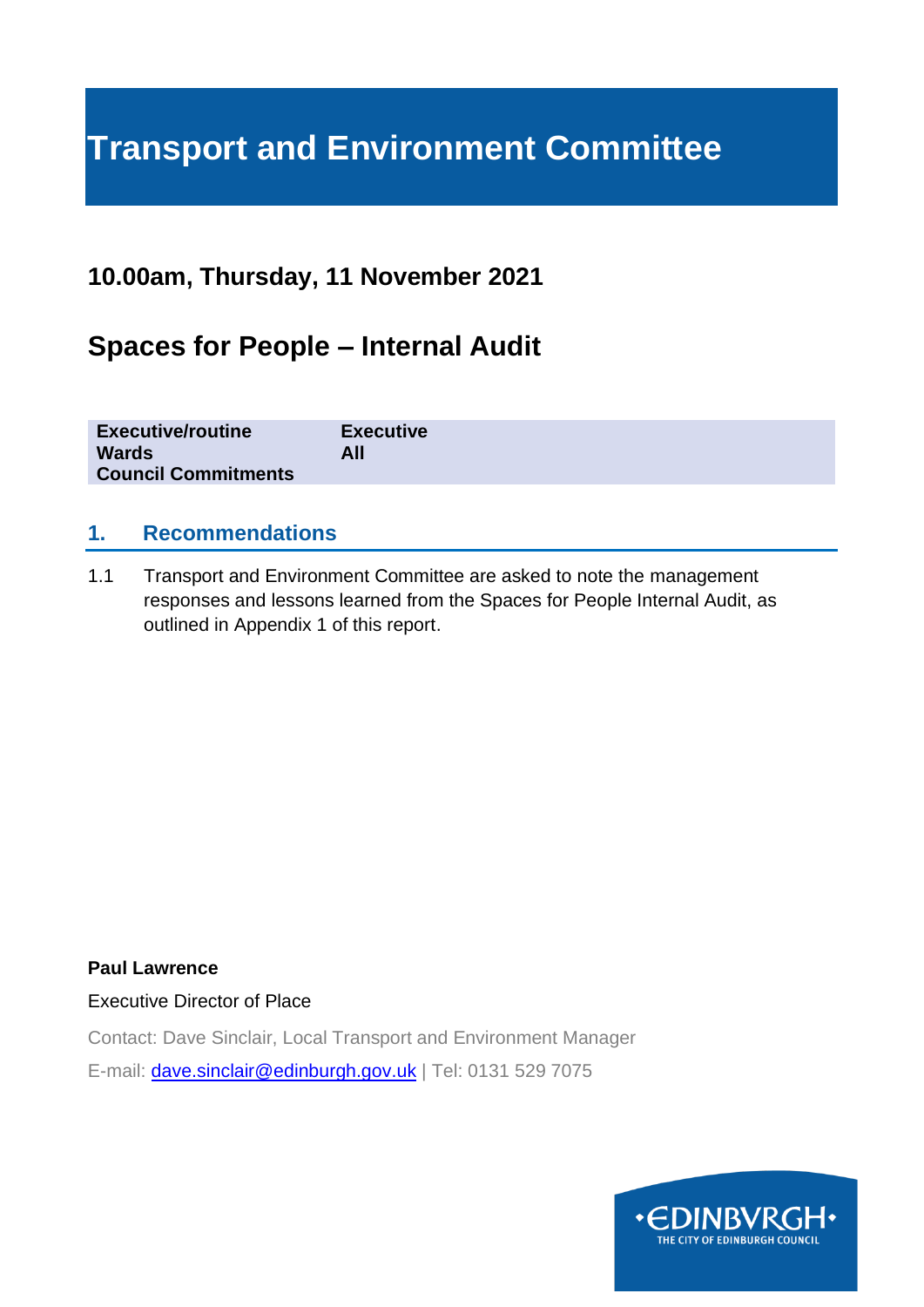# **Transport and Environment Committee**

# **10.00am, Thursday, 11 November 2021**

# **Spaces for People – Internal Audit**

| <b>Executive/routine</b><br><b>Wards</b><br>All<br><b>Council Commitments</b> | <b>Executive</b> |
|-------------------------------------------------------------------------------|------------------|
|-------------------------------------------------------------------------------|------------------|

#### **1. Recommendations**

1.1 Transport and Environment Committee are asked to note the management responses and lessons learned from the Spaces for People Internal Audit, as outlined in Appendix 1 of this report.

**Paul Lawrence**

Executive Director of Place

Contact: Dave Sinclair, Local Transport and Environment Manager

E-mail: [dave.sinclair@edinburgh.gov.uk](mailto:dave.sinclair@edinburgh.gov.uk) | Tel: 0131 529 7075

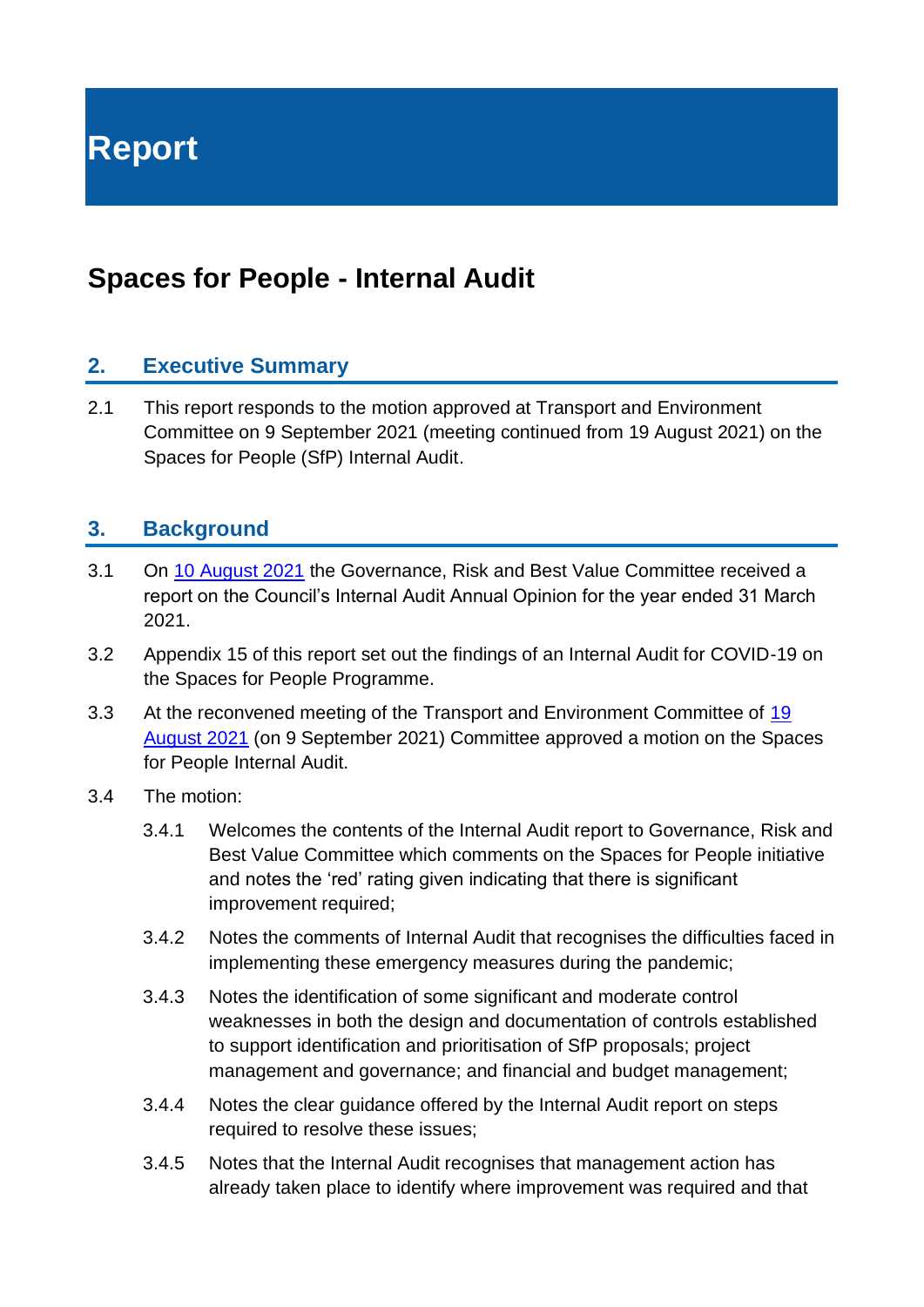**Report**

# **Spaces for People - Internal Audit**

#### **2. Executive Summary**

2.1 This report responds to the motion approved at Transport and Environment Committee on 9 September 2021 (meeting continued from 19 August 2021) on the Spaces for People (SfP) Internal Audit.

#### **3. Background**

- 3.1 On [10 August 2021](file:///C:/Users/9027601/AppData/Local/Microsoft/Windows/INetCache/Content.Outlook/0V8UTMR3/democracy.edinburgh.gov.uk/documents/s35897/8.1%20-%20Internal%20Audit%20Annual%20Opinion%20for%20the%20year%20ended%2031%20March%202021.pdf) the Governance, Risk and Best Value Committee received a report on the Council's Internal Audit Annual Opinion for the year ended 31 March 2021.
- 3.2 Appendix 15 of this report set out the findings of an Internal Audit for COVID-19 on the Spaces for People Programme.
- 3.3 At the reconvened meeting of the Transport and Environment Committee of 19 [August 2021](https://democracy.edinburgh.gov.uk/documents/b18678/Motions%20and%20Amendments%2019th-Aug-2021%2010.00%20Transport%20and%20Environment%20Committee.pdf?T=9) (on 9 September 2021) Committee approved a motion on the Spaces for People Internal Audit.
- 3.4 The motion:
	- 3.4.1 Welcomes the contents of the Internal Audit report to Governance, Risk and Best Value Committee which comments on the Spaces for People initiative and notes the 'red' rating given indicating that there is significant improvement required;
	- 3.4.2 Notes the comments of Internal Audit that recognises the difficulties faced in implementing these emergency measures during the pandemic;
	- 3.4.3 Notes the identification of some significant and moderate control weaknesses in both the design and documentation of controls established to support identification and prioritisation of SfP proposals; project management and governance; and financial and budget management;
	- 3.4.4 Notes the clear guidance offered by the Internal Audit report on steps required to resolve these issues;
	- 3.4.5 Notes that the Internal Audit recognises that management action has already taken place to identify where improvement was required and that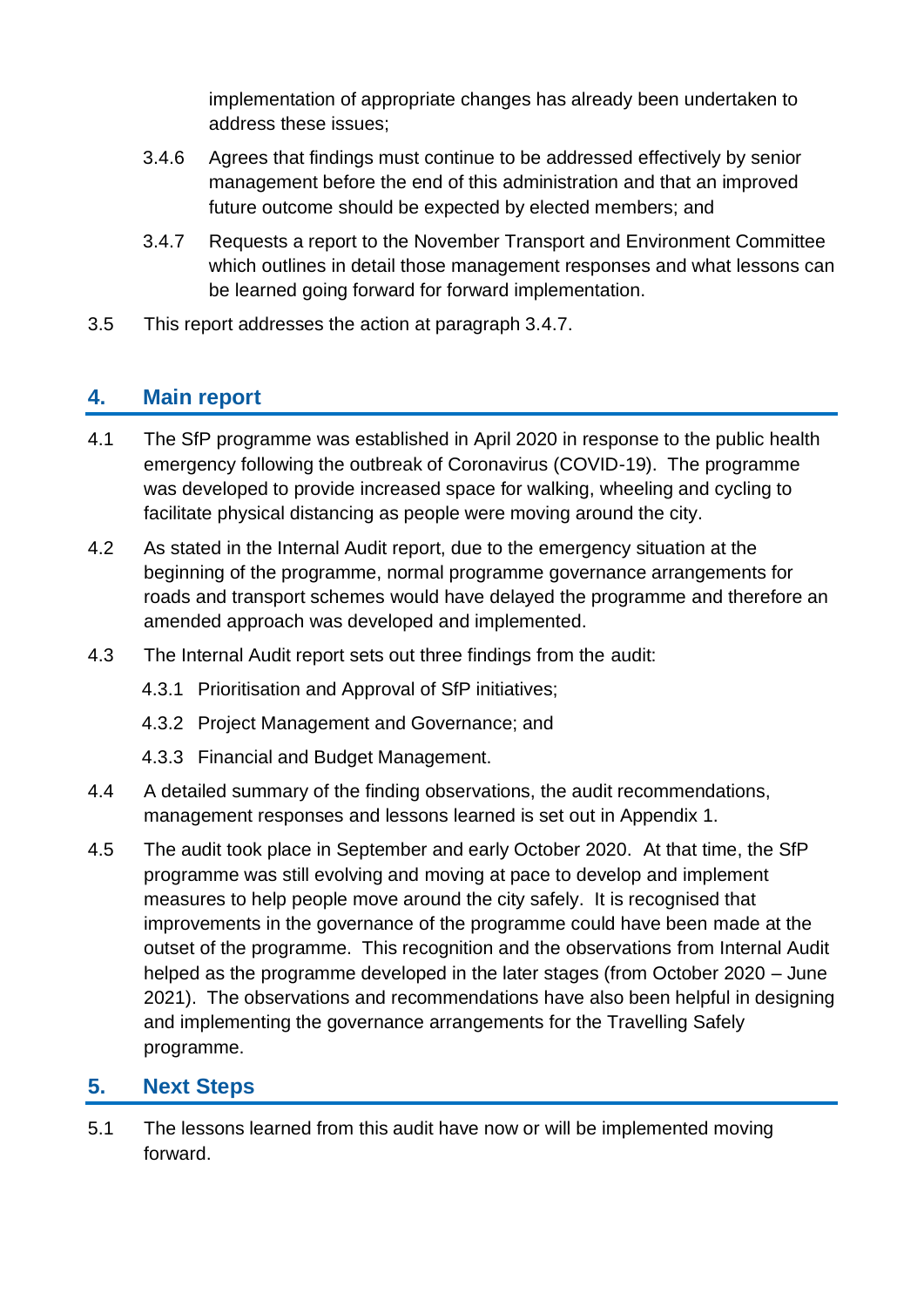implementation of appropriate changes has already been undertaken to address these issues;

- 3.4.6 Agrees that findings must continue to be addressed effectively by senior management before the end of this administration and that an improved future outcome should be expected by elected members; and
- 3.4.7 Requests a report to the November Transport and Environment Committee which outlines in detail those management responses and what lessons can be learned going forward for forward implementation.
- 3.5 This report addresses the action at paragraph 3.4.7.

# **4. Main report**

- 4.1 The SfP programme was established in April 2020 in response to the public health emergency following the outbreak of Coronavirus (COVID-19). The programme was developed to provide increased space for walking, wheeling and cycling to facilitate physical distancing as people were moving around the city.
- 4.2 As stated in the Internal Audit report, due to the emergency situation at the beginning of the programme, normal programme governance arrangements for roads and transport schemes would have delayed the programme and therefore an amended approach was developed and implemented.
- 4.3 The Internal Audit report sets out three findings from the audit:
	- 4.3.1 Prioritisation and Approval of SfP initiatives;
	- 4.3.2 Project Management and Governance; and
	- 4.3.3 Financial and Budget Management.
- 4.4 A detailed summary of the finding observations, the audit recommendations, management responses and lessons learned is set out in Appendix 1.
- 4.5 The audit took place in September and early October 2020. At that time, the SfP programme was still evolving and moving at pace to develop and implement measures to help people move around the city safely. It is recognised that improvements in the governance of the programme could have been made at the outset of the programme. This recognition and the observations from Internal Audit helped as the programme developed in the later stages (from October 2020 – June 2021). The observations and recommendations have also been helpful in designing and implementing the governance arrangements for the Travelling Safely programme.

# **5. Next Steps**

5.1 The lessons learned from this audit have now or will be implemented moving forward.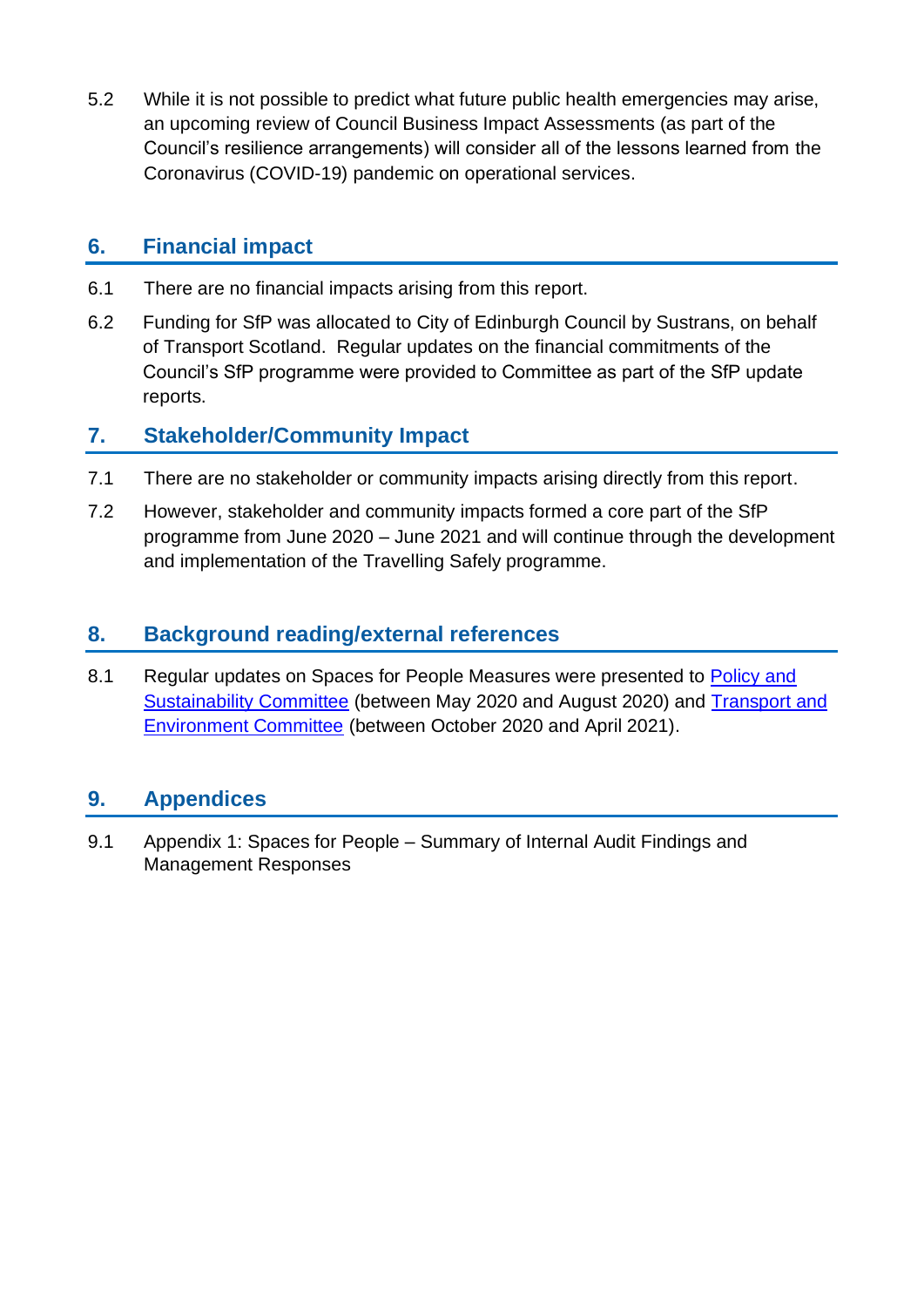5.2 While it is not possible to predict what future public health emergencies may arise, an upcoming review of Council Business Impact Assessments (as part of the Council's resilience arrangements) will consider all of the lessons learned from the Coronavirus (COVID-19) pandemic on operational services.

## **6. Financial impact**

- 6.1 There are no financial impacts arising from this report.
- 6.2 Funding for SfP was allocated to City of Edinburgh Council by Sustrans, on behalf of Transport Scotland. Regular updates on the financial commitments of the Council's SfP programme were provided to Committee as part of the SfP update reports.

## **7. Stakeholder/Community Impact**

- 7.1 There are no stakeholder or community impacts arising directly from this report.
- 7.2 However, stakeholder and community impacts formed a core part of the SfP programme from June 2020 – June 2021 and will continue through the development and implementation of the Travelling Safely programme.

## **8. Background reading/external references**

8.1 Regular updates on Spaces for People Measures were presented to Policy and [Sustainability Committee](https://democracy.edinburgh.gov.uk/ieListMeetings.aspx?CId=135&Year=0) (between May 2020 and August 2020) and [Transport and](https://democracy.edinburgh.gov.uk/ieListMeetings.aspx?CId=136&Year=0)  [Environment Committee](https://democracy.edinburgh.gov.uk/ieListMeetings.aspx?CId=136&Year=0) (between October 2020 and April 2021).

# **9. Appendices**

9.1 Appendix 1: Spaces for People – Summary of Internal Audit Findings and Management Responses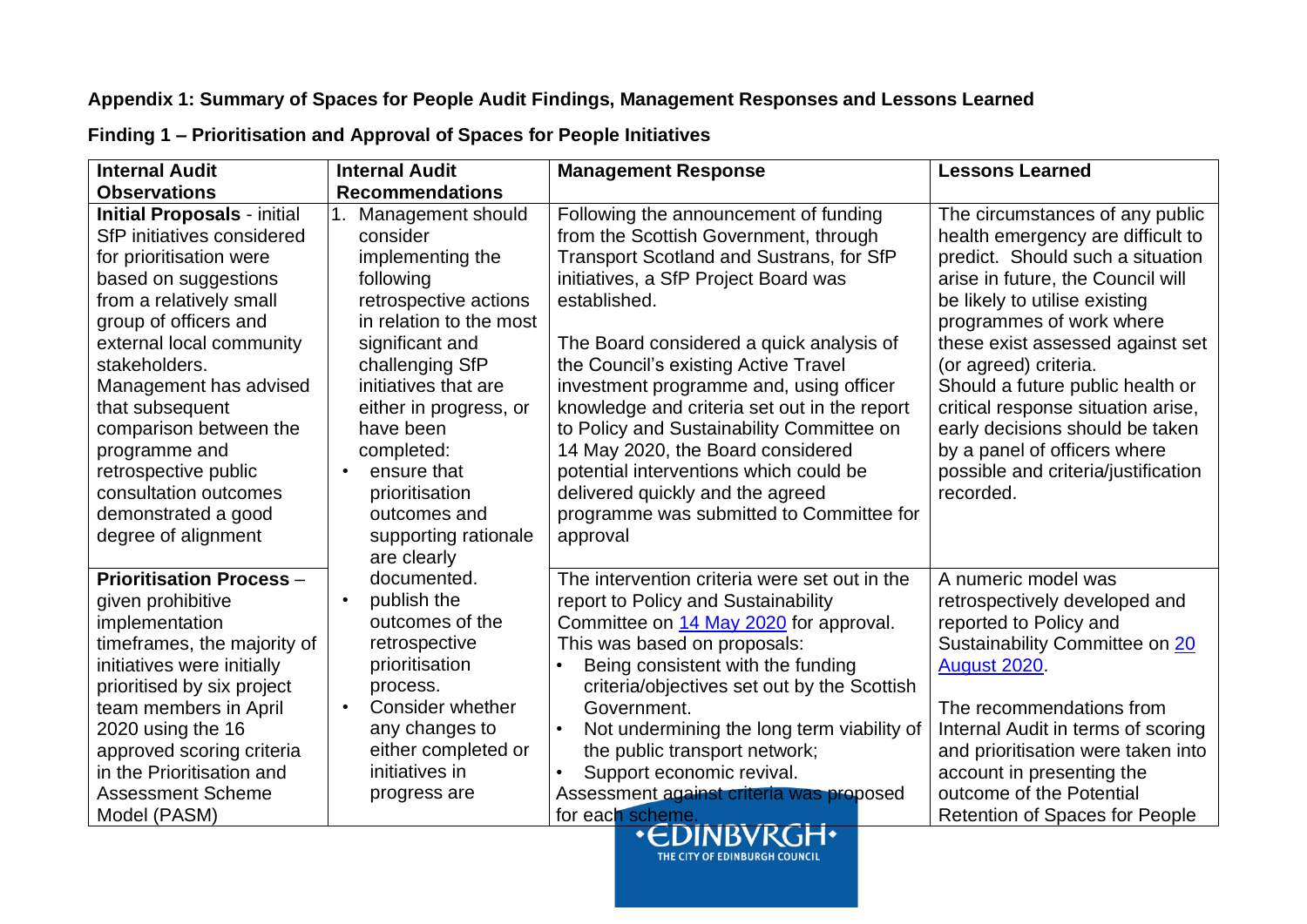## **Appendix 1: Summary of Spaces for People Audit Findings, Management Responses and Lessons Learned**

| <b>Internal Audit</b>                                                                                                                                                                                                                                                                                                                                                                                       | <b>Internal Audit</b>                                                                                                                                                                                                                                                                                                         | <b>Management Response</b>                                                                                                                                                                                                                                                                                                                                                                                                                                                                                                                                                                | <b>Lessons Learned</b>                                                                                                                                                                                                                                                                                                                                                                                                                                                   |
|-------------------------------------------------------------------------------------------------------------------------------------------------------------------------------------------------------------------------------------------------------------------------------------------------------------------------------------------------------------------------------------------------------------|-------------------------------------------------------------------------------------------------------------------------------------------------------------------------------------------------------------------------------------------------------------------------------------------------------------------------------|-------------------------------------------------------------------------------------------------------------------------------------------------------------------------------------------------------------------------------------------------------------------------------------------------------------------------------------------------------------------------------------------------------------------------------------------------------------------------------------------------------------------------------------------------------------------------------------------|--------------------------------------------------------------------------------------------------------------------------------------------------------------------------------------------------------------------------------------------------------------------------------------------------------------------------------------------------------------------------------------------------------------------------------------------------------------------------|
| <b>Observations</b>                                                                                                                                                                                                                                                                                                                                                                                         | <b>Recommendations</b>                                                                                                                                                                                                                                                                                                        |                                                                                                                                                                                                                                                                                                                                                                                                                                                                                                                                                                                           |                                                                                                                                                                                                                                                                                                                                                                                                                                                                          |
| <b>Initial Proposals - initial</b><br>SfP initiatives considered<br>for prioritisation were<br>based on suggestions<br>from a relatively small<br>group of officers and<br>external local community<br>stakeholders.<br>Management has advised<br>that subsequent<br>comparison between the<br>programme and<br>retrospective public<br>consultation outcomes<br>demonstrated a good<br>degree of alignment | Management should<br>consider<br>implementing the<br>following<br>retrospective actions<br>in relation to the most<br>significant and<br>challenging SfP<br>initiatives that are<br>either in progress, or<br>have been<br>completed:<br>ensure that<br>prioritisation<br>outcomes and<br>supporting rationale<br>are clearly | Following the announcement of funding<br>from the Scottish Government, through<br>Transport Scotland and Sustrans, for SfP<br>initiatives, a SfP Project Board was<br>established.<br>The Board considered a quick analysis of<br>the Council's existing Active Travel<br>investment programme and, using officer<br>knowledge and criteria set out in the report<br>to Policy and Sustainability Committee on<br>14 May 2020, the Board considered<br>potential interventions which could be<br>delivered quickly and the agreed<br>programme was submitted to Committee for<br>approval | The circumstances of any public<br>health emergency are difficult to<br>predict. Should such a situation<br>arise in future, the Council will<br>be likely to utilise existing<br>programmes of work where<br>these exist assessed against set<br>(or agreed) criteria.<br>Should a future public health or<br>critical response situation arise,<br>early decisions should be taken<br>by a panel of officers where<br>possible and criteria/justification<br>recorded. |
| <b>Prioritisation Process -</b><br>given prohibitive<br>implementation<br>timeframes, the majority of<br>initiatives were initially<br>prioritised by six project<br>team members in April<br>2020 using the 16<br>approved scoring criteria<br>in the Prioritisation and<br><b>Assessment Scheme</b><br>Model (PASM)                                                                                       | documented.<br>publish the<br>$\bullet$<br>outcomes of the<br>retrospective<br>prioritisation<br>process.<br>Consider whether<br>$\bullet$<br>any changes to<br>either completed or<br>initiatives in<br>progress are                                                                                                         | The intervention criteria were set out in the<br>report to Policy and Sustainability<br>Committee on 14 May 2020 for approval.<br>This was based on proposals:<br>Being consistent with the funding<br>criteria/objectives set out by the Scottish<br>Government.<br>Not undermining the long term viability of<br>the public transport network;<br>Support economic revival.<br>Assessment against criteria was proposed<br>for each scheme.<br><b>State Commercial</b>                                                                                                                  | A numeric model was<br>retrospectively developed and<br>reported to Policy and<br>Sustainability Committee on 20<br><b>August 2020.</b><br>The recommendations from<br>Internal Audit in terms of scoring<br>and prioritisation were taken into<br>account in presenting the<br>outcome of the Potential<br>Retention of Spaces for People                                                                                                                               |

**Finding 1 – Prioritisation and Approval of Spaces for People Initiatives**

THE CITY OF EDINBURGH COUNCIL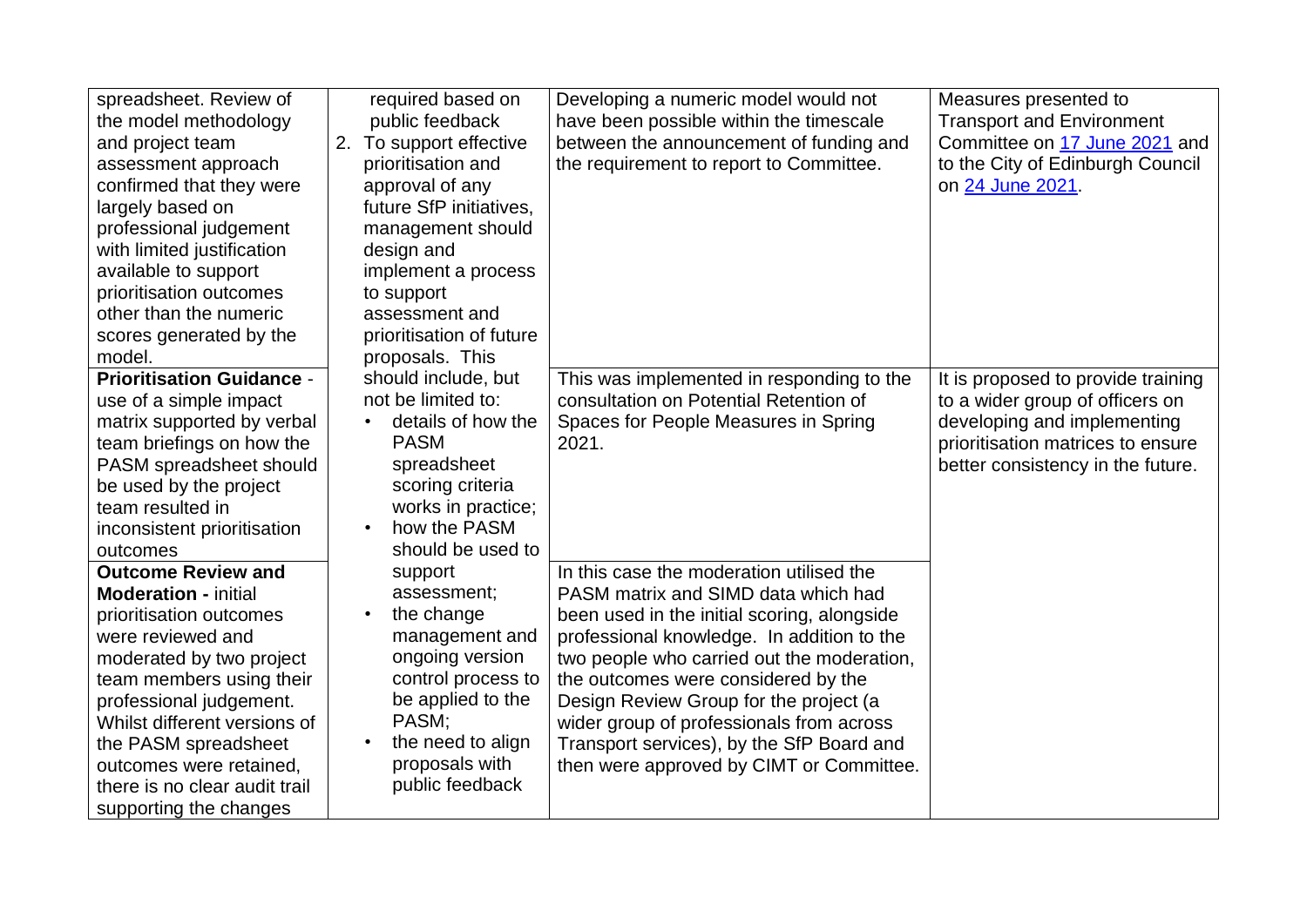| spreadsheet. Review of           | required based on         | Developing a numeric model would not        | Measures presented to              |
|----------------------------------|---------------------------|---------------------------------------------|------------------------------------|
| the model methodology            | public feedback           | have been possible within the timescale     | <b>Transport and Environment</b>   |
| and project team                 | 2. To support effective   | between the announcement of funding and     | Committee on 17 June 2021 and      |
| assessment approach              | prioritisation and        | the requirement to report to Committee.     | to the City of Edinburgh Council   |
| confirmed that they were         | approval of any           |                                             | on 24 June 2021.                   |
| largely based on                 | future SfP initiatives,   |                                             |                                    |
| professional judgement           | management should         |                                             |                                    |
| with limited justification       | design and                |                                             |                                    |
| available to support             | implement a process       |                                             |                                    |
| prioritisation outcomes          | to support                |                                             |                                    |
| other than the numeric           | assessment and            |                                             |                                    |
| scores generated by the          | prioritisation of future  |                                             |                                    |
| model.                           | proposals. This           |                                             |                                    |
| <b>Prioritisation Guidance -</b> | should include, but       | This was implemented in responding to the   | It is proposed to provide training |
| use of a simple impact           | not be limited to:        | consultation on Potential Retention of      | to a wider group of officers on    |
| matrix supported by verbal       | details of how the        | Spaces for People Measures in Spring        | developing and implementing        |
| team briefings on how the        | <b>PASM</b>               | 2021.                                       | prioritisation matrices to ensure  |
| PASM spreadsheet should          | spreadsheet               |                                             | better consistency in the future.  |
| be used by the project           | scoring criteria          |                                             |                                    |
| team resulted in                 | works in practice;        |                                             |                                    |
| inconsistent prioritisation      | how the PASM<br>$\bullet$ |                                             |                                    |
| outcomes                         | should be used to         |                                             |                                    |
| <b>Outcome Review and</b>        | support                   | In this case the moderation utilised the    |                                    |
| <b>Moderation - initial</b>      | assessment;               | PASM matrix and SIMD data which had         |                                    |
| prioritisation outcomes          | the change<br>$\bullet$   | been used in the initial scoring, alongside |                                    |
| were reviewed and                | management and            | professional knowledge. In addition to the  |                                    |
| moderated by two project         | ongoing version           | two people who carried out the moderation,  |                                    |
| team members using their         | control process to        | the outcomes were considered by the         |                                    |
| professional judgement.          | be applied to the         | Design Review Group for the project (a      |                                    |
| Whilst different versions of     | PASM;                     | wider group of professionals from across    |                                    |
| the PASM spreadsheet             | the need to align         | Transport services), by the SfP Board and   |                                    |
| outcomes were retained,          | proposals with            | then were approved by CIMT or Committee.    |                                    |
| there is no clear audit trail    | public feedback           |                                             |                                    |
| supporting the changes           |                           |                                             |                                    |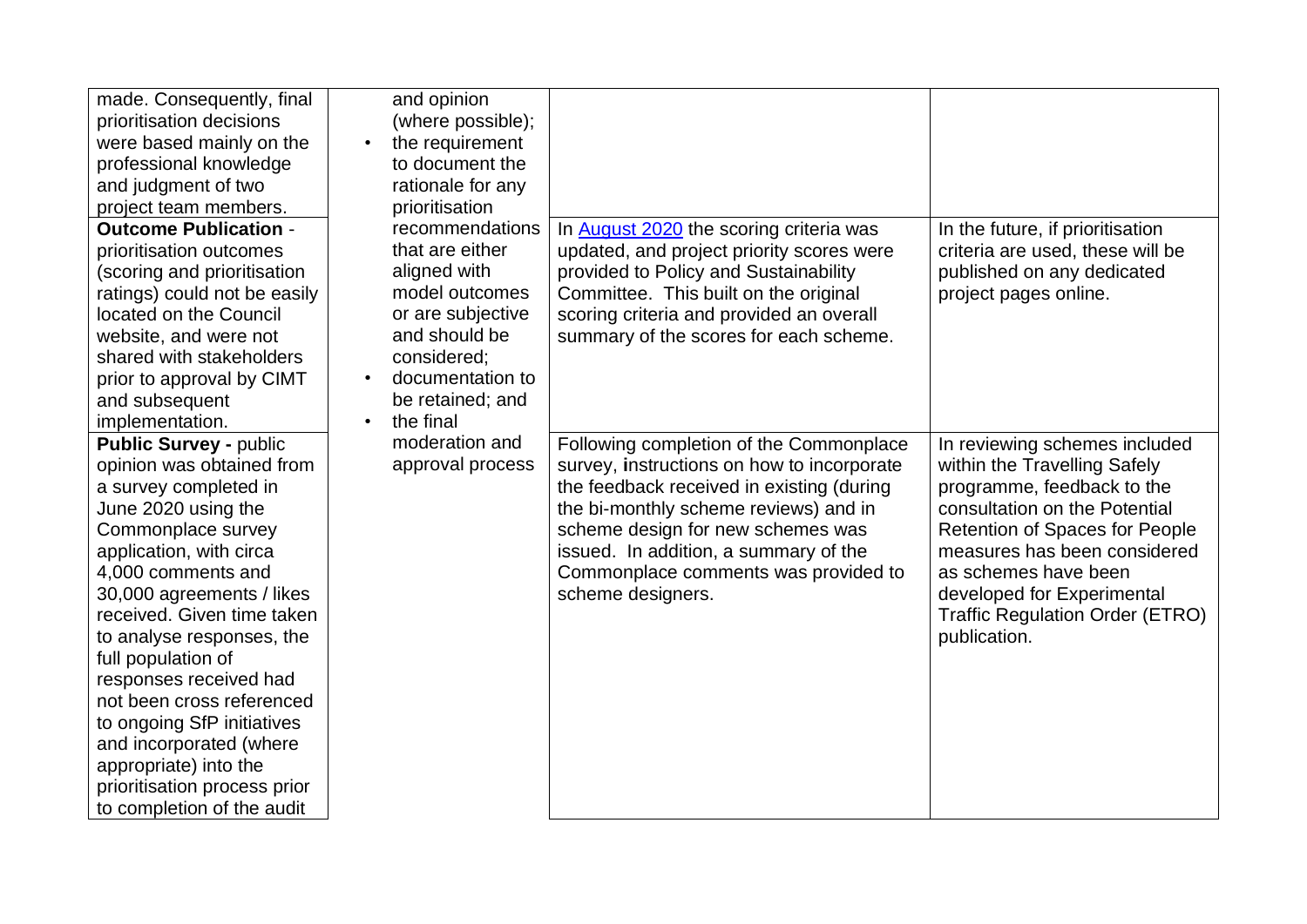| made. Consequently, final<br>prioritisation decisions<br>were based mainly on the<br>professional knowledge<br>and judgment of two<br>project team members.<br><b>Outcome Publication -</b><br>prioritisation outcomes<br>(scoring and prioritisation<br>ratings) could not be easily<br>located on the Council<br>website, and were not<br>shared with stakeholders<br>prior to approval by CIMT<br>and subsequent                                                                                                       | and opinion<br>(where possible);<br>the requirement<br>$\bullet$<br>to document the<br>rationale for any<br>prioritisation<br>recommendations<br>that are either<br>aligned with<br>model outcomes<br>or are subjective<br>and should be<br>considered;<br>documentation to<br>be retained; and<br>the final | In August 2020 the scoring criteria was<br>updated, and project priority scores were<br>provided to Policy and Sustainability<br>Committee. This built on the original<br>scoring criteria and provided an overall<br>summary of the scores for each scheme.                                                           | In the future, if prioritisation<br>criteria are used, these will be<br>published on any dedicated<br>project pages online.                                                                                                                                                                                           |
|---------------------------------------------------------------------------------------------------------------------------------------------------------------------------------------------------------------------------------------------------------------------------------------------------------------------------------------------------------------------------------------------------------------------------------------------------------------------------------------------------------------------------|--------------------------------------------------------------------------------------------------------------------------------------------------------------------------------------------------------------------------------------------------------------------------------------------------------------|------------------------------------------------------------------------------------------------------------------------------------------------------------------------------------------------------------------------------------------------------------------------------------------------------------------------|-----------------------------------------------------------------------------------------------------------------------------------------------------------------------------------------------------------------------------------------------------------------------------------------------------------------------|
| implementation.<br><b>Public Survey - public</b><br>opinion was obtained from<br>a survey completed in<br>June 2020 using the<br>Commonplace survey<br>application, with circa<br>4,000 comments and<br>30,000 agreements / likes<br>received. Given time taken<br>to analyse responses, the<br>full population of<br>responses received had<br>not been cross referenced<br>to ongoing SfP initiatives<br>and incorporated (where<br>appropriate) into the<br>prioritisation process prior<br>to completion of the audit | moderation and<br>approval process                                                                                                                                                                                                                                                                           | Following completion of the Commonplace<br>survey, instructions on how to incorporate<br>the feedback received in existing (during<br>the bi-monthly scheme reviews) and in<br>scheme design for new schemes was<br>issued. In addition, a summary of the<br>Commonplace comments was provided to<br>scheme designers. | In reviewing schemes included<br>within the Travelling Safely<br>programme, feedback to the<br>consultation on the Potential<br><b>Retention of Spaces for People</b><br>measures has been considered<br>as schemes have been<br>developed for Experimental<br><b>Traffic Regulation Order (ETRO)</b><br>publication. |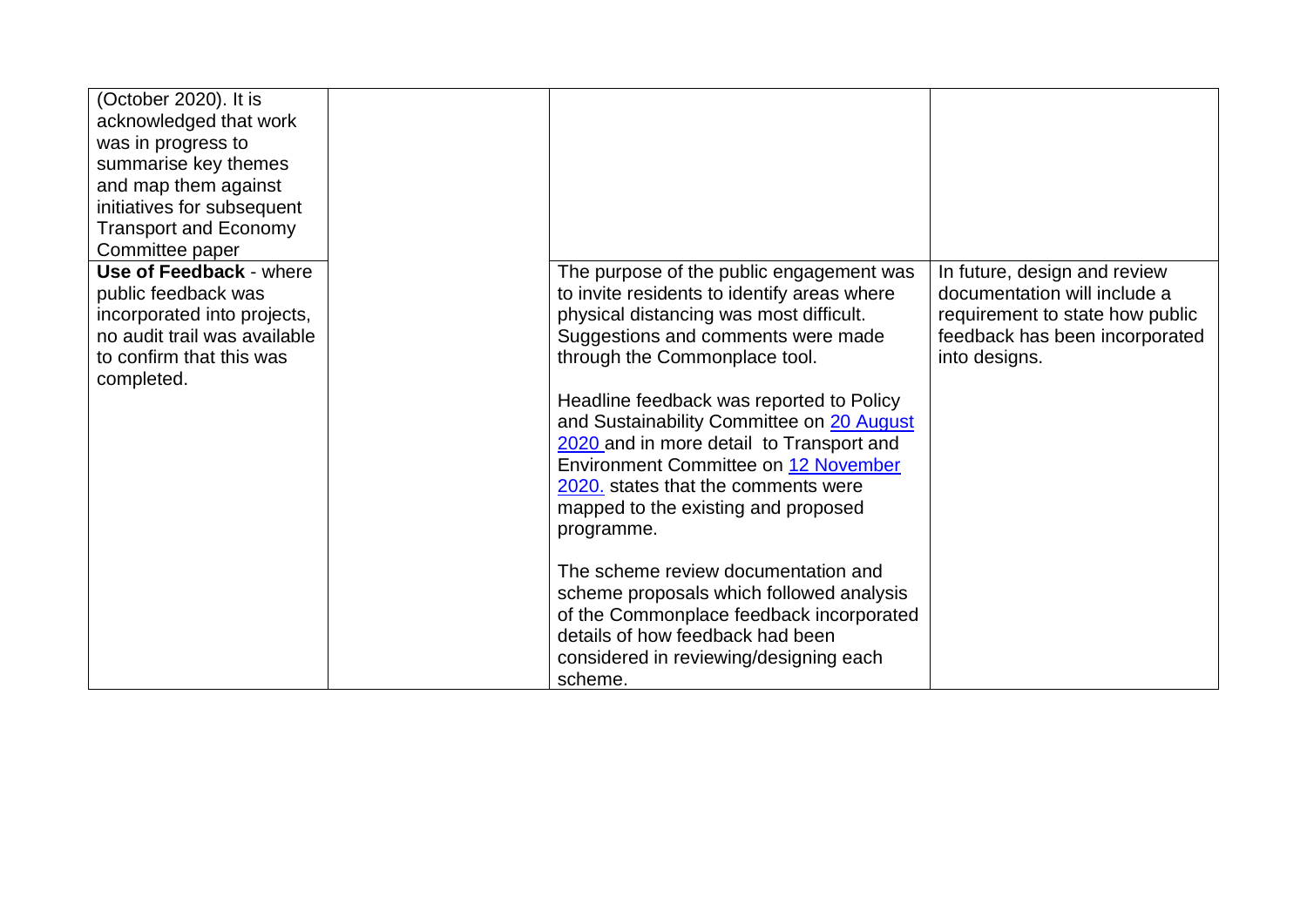| (October 2020). It is<br>acknowledged that work<br>was in progress to<br>summarise key themes<br>and map them against<br>initiatives for subsequent<br><b>Transport and Economy</b> |                                                                                                                                                                                                                                                       |                                                                                                                                                    |
|-------------------------------------------------------------------------------------------------------------------------------------------------------------------------------------|-------------------------------------------------------------------------------------------------------------------------------------------------------------------------------------------------------------------------------------------------------|----------------------------------------------------------------------------------------------------------------------------------------------------|
| Committee paper                                                                                                                                                                     |                                                                                                                                                                                                                                                       |                                                                                                                                                    |
| Use of Feedback - where<br>public feedback was<br>incorporated into projects,<br>no audit trail was available<br>to confirm that this was<br>completed.                             | The purpose of the public engagement was<br>to invite residents to identify areas where<br>physical distancing was most difficult.<br>Suggestions and comments were made<br>through the Commonplace tool.<br>Headline feedback was reported to Policy | In future, design and review<br>documentation will include a<br>requirement to state how public<br>feedback has been incorporated<br>into designs. |
|                                                                                                                                                                                     | and Sustainability Committee on 20 August<br>2020 and in more detail to Transport and<br>Environment Committee on 12 November                                                                                                                         |                                                                                                                                                    |
|                                                                                                                                                                                     | 2020. states that the comments were                                                                                                                                                                                                                   |                                                                                                                                                    |
|                                                                                                                                                                                     | mapped to the existing and proposed<br>programme.                                                                                                                                                                                                     |                                                                                                                                                    |
|                                                                                                                                                                                     |                                                                                                                                                                                                                                                       |                                                                                                                                                    |
|                                                                                                                                                                                     | The scheme review documentation and                                                                                                                                                                                                                   |                                                                                                                                                    |
|                                                                                                                                                                                     | scheme proposals which followed analysis<br>of the Commonplace feedback incorporated                                                                                                                                                                  |                                                                                                                                                    |
|                                                                                                                                                                                     | details of how feedback had been                                                                                                                                                                                                                      |                                                                                                                                                    |
|                                                                                                                                                                                     | considered in reviewing/designing each                                                                                                                                                                                                                |                                                                                                                                                    |
|                                                                                                                                                                                     | scheme.                                                                                                                                                                                                                                               |                                                                                                                                                    |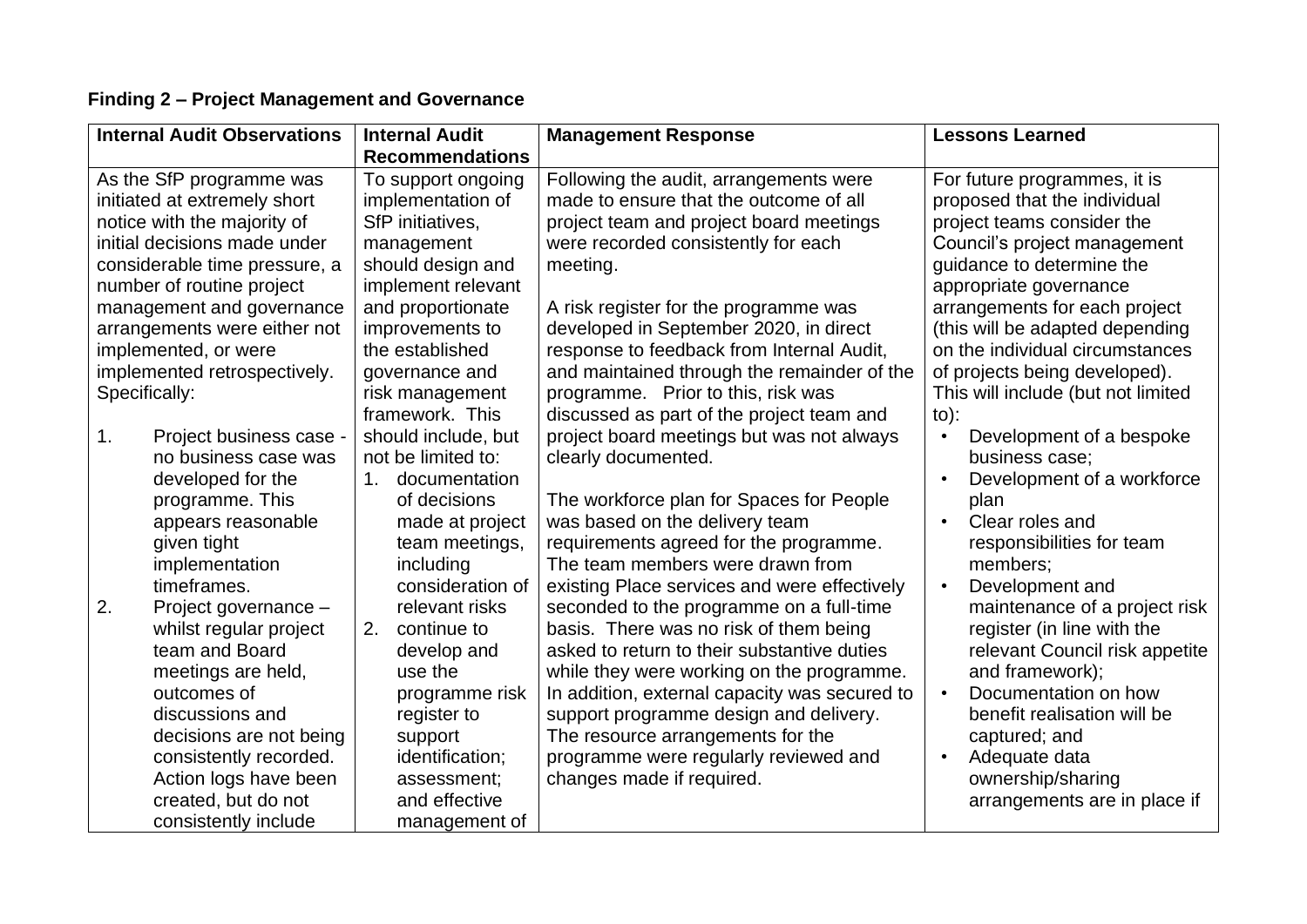## **Finding 2 – Project Management and Governance**

| <b>Internal Audit Observations</b> |                               | <b>Internal Audit</b>  | <b>Management Response</b>                    | <b>Lessons Learned</b>                  |
|------------------------------------|-------------------------------|------------------------|-----------------------------------------------|-----------------------------------------|
|                                    |                               | <b>Recommendations</b> |                                               |                                         |
|                                    | As the SfP programme was      | To support ongoing     | Following the audit, arrangements were        | For future programmes, it is            |
| initiated at extremely short       |                               | implementation of      | made to ensure that the outcome of all        | proposed that the individual            |
|                                    | notice with the majority of   | SfP initiatives,       | project team and project board meetings       | project teams consider the              |
|                                    | initial decisions made under  | management             | were recorded consistently for each           | Council's project management            |
|                                    | considerable time pressure, a | should design and      | meeting.                                      | guidance to determine the               |
|                                    | number of routine project     | implement relevant     |                                               | appropriate governance                  |
|                                    | management and governance     | and proportionate      | A risk register for the programme was         | arrangements for each project           |
|                                    | arrangements were either not  | improvements to        | developed in September 2020, in direct        | (this will be adapted depending         |
|                                    | implemented, or were          | the established        | response to feedback from Internal Audit,     | on the individual circumstances         |
|                                    | implemented retrospectively.  | governance and         | and maintained through the remainder of the   | of projects being developed).           |
|                                    | Specifically:                 | risk management        | programme. Prior to this, risk was            | This will include (but not limited      |
|                                    |                               | framework. This        | discussed as part of the project team and     | $to)$ :                                 |
| 1.                                 | Project business case -       | should include, but    | project board meetings but was not always     | Development of a bespoke<br>$\bullet$   |
|                                    | no business case was          | not be limited to:     | clearly documented.                           | business case;                          |
|                                    | developed for the             | documentation<br>1.    |                                               | Development of a workforce<br>$\bullet$ |
|                                    | programme. This               | of decisions           | The workforce plan for Spaces for People      | plan                                    |
|                                    | appears reasonable            | made at project        | was based on the delivery team                | Clear roles and<br>$\bullet$            |
|                                    | given tight                   | team meetings,         | requirements agreed for the programme.        | responsibilities for team               |
|                                    | implementation                | including              | The team members were drawn from              | members;                                |
|                                    | timeframes.                   | consideration of       | existing Place services and were effectively  | Development and<br>$\bullet$            |
| 2.                                 | Project governance -          | relevant risks         | seconded to the programme on a full-time      | maintenance of a project risk           |
|                                    | whilst regular project        | 2.<br>continue to      | basis. There was no risk of them being        | register (in line with the              |
|                                    | team and Board                | develop and            | asked to return to their substantive duties   | relevant Council risk appetite          |
|                                    | meetings are held,            | use the                | while they were working on the programme.     | and framework);                         |
|                                    | outcomes of                   | programme risk         | In addition, external capacity was secured to | Documentation on how<br>$\bullet$       |
|                                    | discussions and               | register to            | support programme design and delivery.        | benefit realisation will be             |
|                                    | decisions are not being       | support                | The resource arrangements for the             | captured; and                           |
|                                    | consistently recorded.        | identification;        | programme were regularly reviewed and         | Adequate data<br>$\bullet$              |
|                                    | Action logs have been         | assessment;            | changes made if required.                     | ownership/sharing                       |
|                                    | created, but do not           | and effective          |                                               | arrangements are in place if            |
|                                    | consistently include          | management of          |                                               |                                         |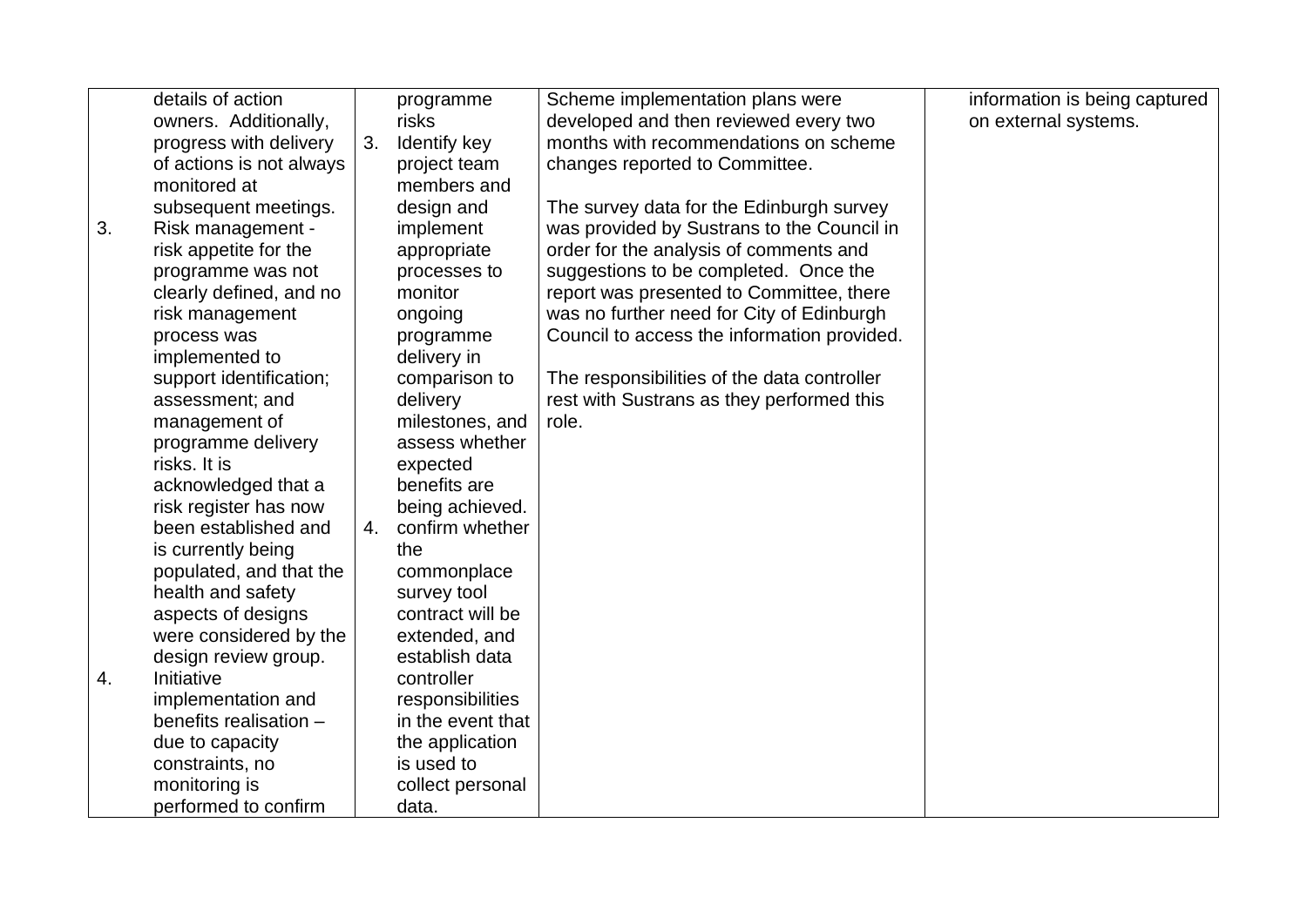|    | details of action        |    | programme         | Scheme implementation plans were            | information is being captured |
|----|--------------------------|----|-------------------|---------------------------------------------|-------------------------------|
|    | owners. Additionally,    |    | risks             | developed and then reviewed every two       | on external systems.          |
|    | progress with delivery   | 3. | Identify key      | months with recommendations on scheme       |                               |
|    | of actions is not always |    | project team      | changes reported to Committee.              |                               |
|    | monitored at             |    | members and       |                                             |                               |
|    | subsequent meetings.     |    | design and        | The survey data for the Edinburgh survey    |                               |
| 3. | Risk management -        |    | implement         | was provided by Sustrans to the Council in  |                               |
|    | risk appetite for the    |    | appropriate       | order for the analysis of comments and      |                               |
|    | programme was not        |    | processes to      | suggestions to be completed. Once the       |                               |
|    | clearly defined, and no  |    | monitor           | report was presented to Committee, there    |                               |
|    | risk management          |    | ongoing           | was no further need for City of Edinburgh   |                               |
|    | process was              |    | programme         | Council to access the information provided. |                               |
|    | implemented to           |    | delivery in       |                                             |                               |
|    | support identification;  |    | comparison to     | The responsibilities of the data controller |                               |
|    | assessment; and          |    | delivery          | rest with Sustrans as they performed this   |                               |
|    | management of            |    | milestones, and   | role.                                       |                               |
|    | programme delivery       |    | assess whether    |                                             |                               |
|    | risks. It is             |    | expected          |                                             |                               |
|    | acknowledged that a      |    | benefits are      |                                             |                               |
|    | risk register has now    |    | being achieved.   |                                             |                               |
|    | been established and     | 4. | confirm whether   |                                             |                               |
|    | is currently being       |    | the               |                                             |                               |
|    | populated, and that the  |    | commonplace       |                                             |                               |
|    | health and safety        |    | survey tool       |                                             |                               |
|    | aspects of designs       |    | contract will be  |                                             |                               |
|    | were considered by the   |    | extended, and     |                                             |                               |
|    | design review group.     |    | establish data    |                                             |                               |
| 4. | Initiative               |    | controller        |                                             |                               |
|    | implementation and       |    | responsibilities  |                                             |                               |
|    | benefits realisation -   |    | in the event that |                                             |                               |
|    | due to capacity          |    | the application   |                                             |                               |
|    | constraints, no          |    | is used to        |                                             |                               |
|    | monitoring is            |    | collect personal  |                                             |                               |
|    | performed to confirm     |    | data.             |                                             |                               |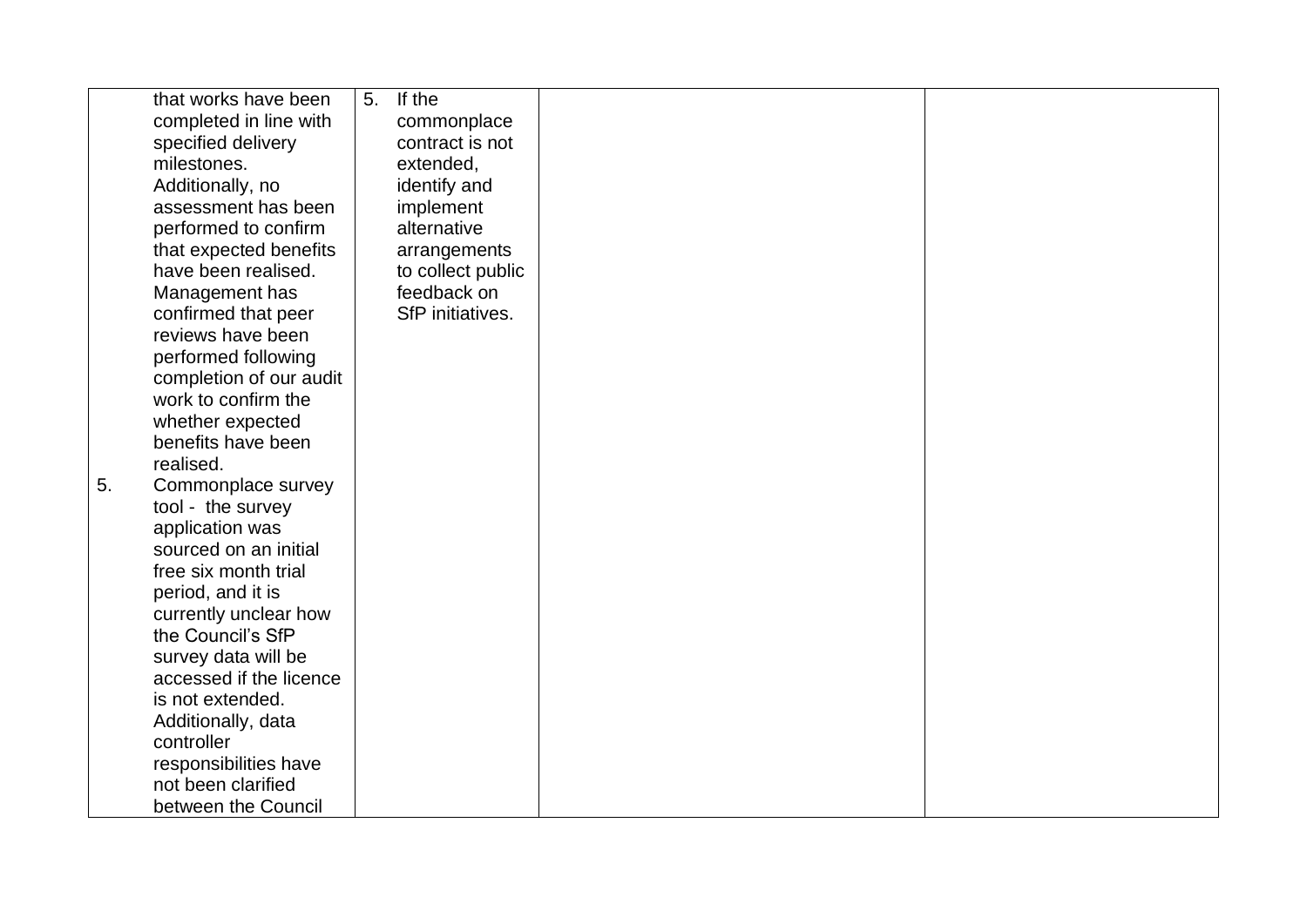|    | that works have been    | 5. | If the            |  |
|----|-------------------------|----|-------------------|--|
|    | completed in line with  |    | commonplace       |  |
|    | specified delivery      |    | contract is not   |  |
|    | milestones.             |    | extended,         |  |
|    | Additionally, no        |    | identify and      |  |
|    | assessment has been     |    | implement         |  |
|    | performed to confirm    |    | alternative       |  |
|    | that expected benefits  |    | arrangements      |  |
|    | have been realised.     |    | to collect public |  |
|    | Management has          |    | feedback on       |  |
|    | confirmed that peer     |    | SfP initiatives.  |  |
|    | reviews have been       |    |                   |  |
|    | performed following     |    |                   |  |
|    | completion of our audit |    |                   |  |
|    | work to confirm the     |    |                   |  |
|    | whether expected        |    |                   |  |
|    | benefits have been      |    |                   |  |
|    | realised.               |    |                   |  |
| 5. | Commonplace survey      |    |                   |  |
|    | tool - the survey       |    |                   |  |
|    | application was         |    |                   |  |
|    | sourced on an initial   |    |                   |  |
|    | free six month trial    |    |                   |  |
|    | period, and it is       |    |                   |  |
|    | currently unclear how   |    |                   |  |
|    | the Council's SfP       |    |                   |  |
|    | survey data will be     |    |                   |  |
|    | accessed if the licence |    |                   |  |
|    | is not extended.        |    |                   |  |
|    | Additionally, data      |    |                   |  |
|    | controller              |    |                   |  |
|    | responsibilities have   |    |                   |  |
|    | not been clarified      |    |                   |  |
|    | between the Council     |    |                   |  |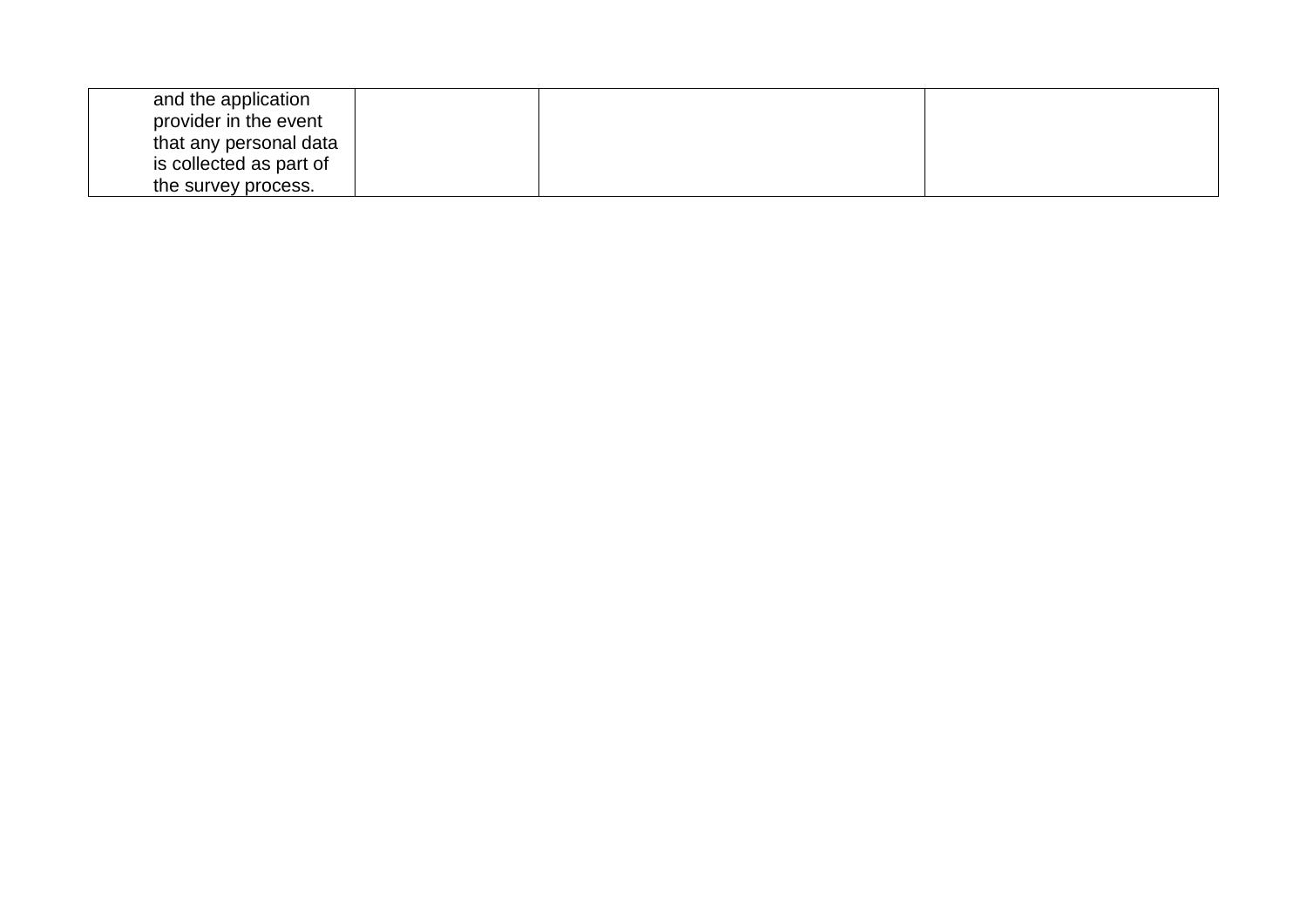| and the application     |  |  |
|-------------------------|--|--|
| provider in the event   |  |  |
| that any personal data  |  |  |
| is collected as part of |  |  |
| the survey process.     |  |  |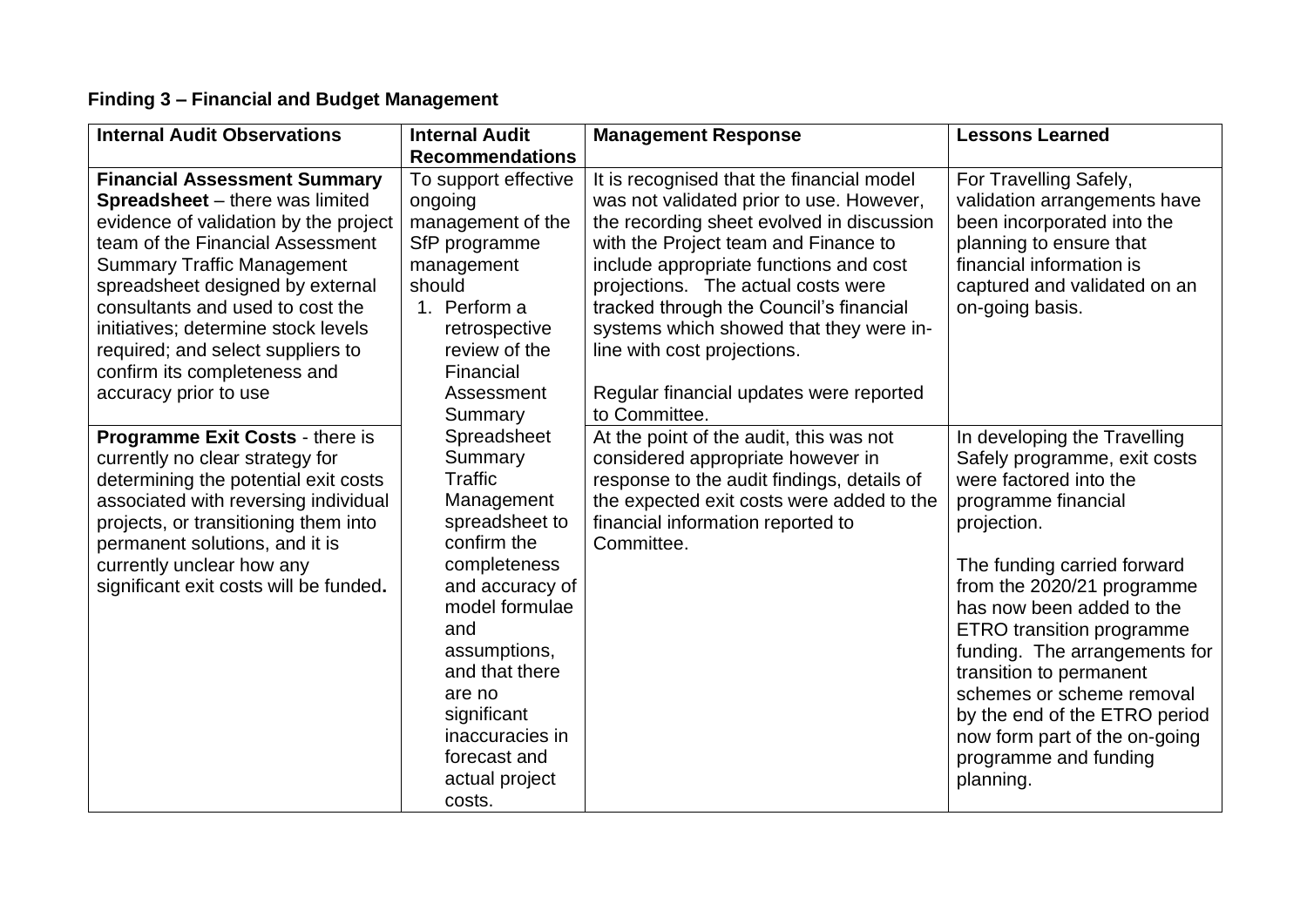# **Finding 3 – Financial and Budget Management**

| <b>Internal Audit Observations</b>                                                                                                                                                                                                                                                                                                                                                                           | <b>Internal Audit</b>                                                                                                                                                                                                                                                  | <b>Management Response</b>                                                                                                                                                                                                                                                                                                                                                                                                                  | <b>Lessons Learned</b>                                                                                                                                                                                                                                                                                                                                                                                                                                      |
|--------------------------------------------------------------------------------------------------------------------------------------------------------------------------------------------------------------------------------------------------------------------------------------------------------------------------------------------------------------------------------------------------------------|------------------------------------------------------------------------------------------------------------------------------------------------------------------------------------------------------------------------------------------------------------------------|---------------------------------------------------------------------------------------------------------------------------------------------------------------------------------------------------------------------------------------------------------------------------------------------------------------------------------------------------------------------------------------------------------------------------------------------|-------------------------------------------------------------------------------------------------------------------------------------------------------------------------------------------------------------------------------------------------------------------------------------------------------------------------------------------------------------------------------------------------------------------------------------------------------------|
|                                                                                                                                                                                                                                                                                                                                                                                                              | <b>Recommendations</b>                                                                                                                                                                                                                                                 |                                                                                                                                                                                                                                                                                                                                                                                                                                             |                                                                                                                                                                                                                                                                                                                                                                                                                                                             |
| <b>Financial Assessment Summary</b><br><b>Spreadsheet</b> – there was limited<br>evidence of validation by the project<br>team of the Financial Assessment<br><b>Summary Traffic Management</b><br>spreadsheet designed by external<br>consultants and used to cost the<br>initiatives; determine stock levels<br>required; and select suppliers to<br>confirm its completeness and<br>accuracy prior to use | To support effective<br>ongoing<br>management of the<br>SfP programme<br>management<br>should<br>1. Perform a<br>retrospective<br>review of the<br>Financial<br>Assessment<br>Summary                                                                                  | It is recognised that the financial model<br>was not validated prior to use. However,<br>the recording sheet evolved in discussion<br>with the Project team and Finance to<br>include appropriate functions and cost<br>projections. The actual costs were<br>tracked through the Council's financial<br>systems which showed that they were in-<br>line with cost projections.<br>Regular financial updates were reported<br>to Committee. | For Travelling Safely,<br>validation arrangements have<br>been incorporated into the<br>planning to ensure that<br>financial information is<br>captured and validated on an<br>on-going basis.                                                                                                                                                                                                                                                              |
| Programme Exit Costs - there is<br>currently no clear strategy for<br>determining the potential exit costs<br>associated with reversing individual<br>projects, or transitioning them into<br>permanent solutions, and it is<br>currently unclear how any<br>significant exit costs will be funded.                                                                                                          | Spreadsheet<br>Summary<br>Traffic<br>Management<br>spreadsheet to<br>confirm the<br>completeness<br>and accuracy of<br>model formulae<br>and<br>assumptions,<br>and that there<br>are no<br>significant<br>inaccuracies in<br>forecast and<br>actual project<br>costs. | At the point of the audit, this was not<br>considered appropriate however in<br>response to the audit findings, details of<br>the expected exit costs were added to the<br>financial information reported to<br>Committee.                                                                                                                                                                                                                  | In developing the Travelling<br>Safely programme, exit costs<br>were factored into the<br>programme financial<br>projection.<br>The funding carried forward<br>from the 2020/21 programme<br>has now been added to the<br><b>ETRO</b> transition programme<br>funding. The arrangements for<br>transition to permanent<br>schemes or scheme removal<br>by the end of the ETRO period<br>now form part of the on-going<br>programme and funding<br>planning. |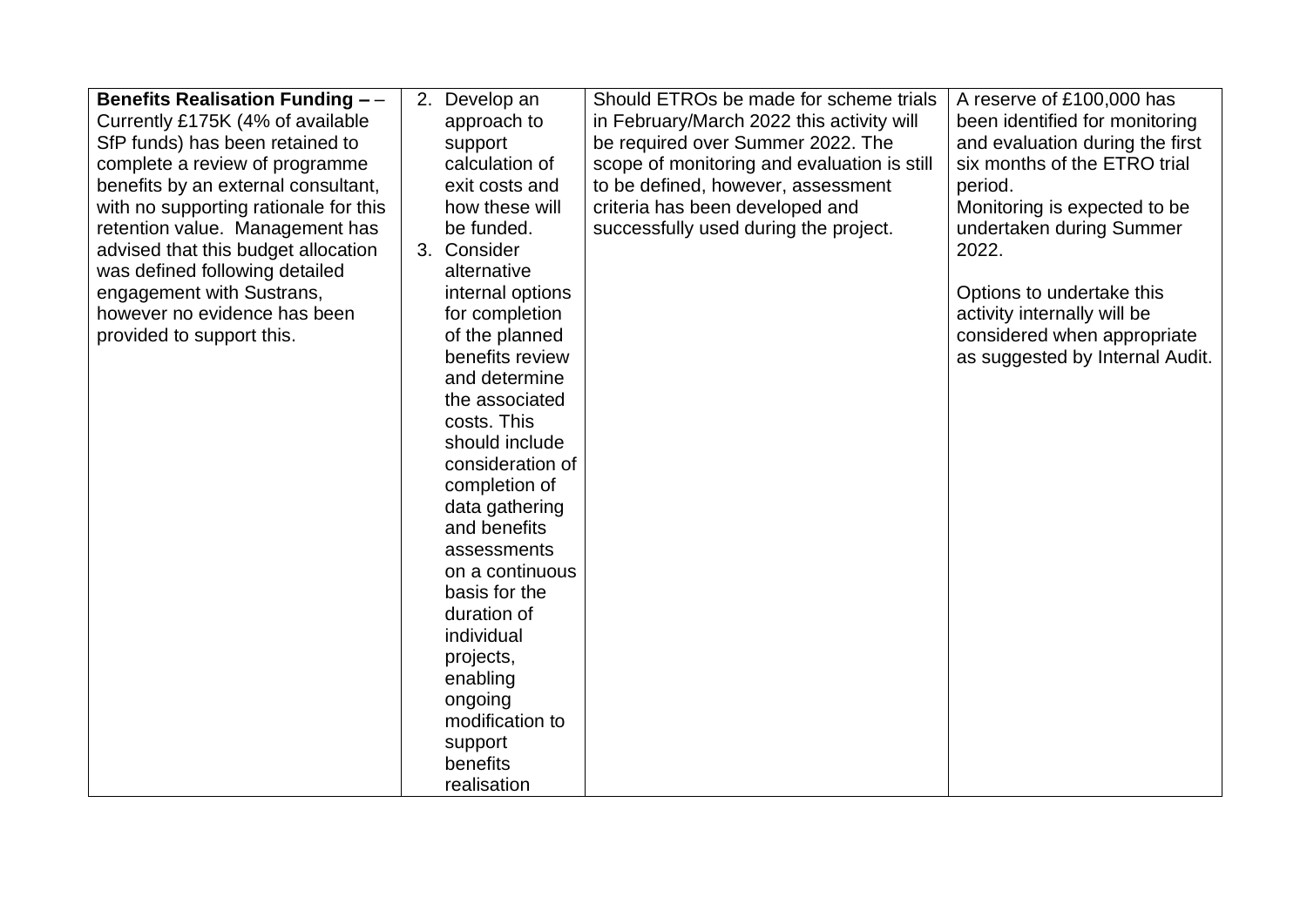| <b>Benefits Realisation Funding --</b> | 2. Develop an    | Should ETROs be made for scheme trials      | A reserve of £100,000 has       |
|----------------------------------------|------------------|---------------------------------------------|---------------------------------|
| Currently £175K (4% of available       | approach to      | in February/March 2022 this activity will   | been identified for monitoring  |
| SfP funds) has been retained to        | support          | be required over Summer 2022. The           | and evaluation during the first |
| complete a review of programme         | calculation of   | scope of monitoring and evaluation is still | six months of the ETRO trial    |
| benefits by an external consultant,    | exit costs and   | to be defined, however, assessment          | period.                         |
| with no supporting rationale for this  | how these will   | criteria has been developed and             | Monitoring is expected to be    |
| retention value. Management has        | be funded.       | successfully used during the project.       | undertaken during Summer        |
| advised that this budget allocation    | 3. Consider      |                                             | 2022.                           |
| was defined following detailed         | alternative      |                                             |                                 |
| engagement with Sustrans,              | internal options |                                             | Options to undertake this       |
| however no evidence has been           | for completion   |                                             | activity internally will be     |
| provided to support this.              | of the planned   |                                             | considered when appropriate     |
|                                        | benefits review  |                                             | as suggested by Internal Audit. |
|                                        | and determine    |                                             |                                 |
|                                        | the associated   |                                             |                                 |
|                                        | costs. This      |                                             |                                 |
|                                        | should include   |                                             |                                 |
|                                        | consideration of |                                             |                                 |
|                                        | completion of    |                                             |                                 |
|                                        | data gathering   |                                             |                                 |
|                                        | and benefits     |                                             |                                 |
|                                        | assessments      |                                             |                                 |
|                                        | on a continuous  |                                             |                                 |
|                                        | basis for the    |                                             |                                 |
|                                        | duration of      |                                             |                                 |
|                                        | individual       |                                             |                                 |
|                                        | projects,        |                                             |                                 |
|                                        | enabling         |                                             |                                 |
|                                        | ongoing          |                                             |                                 |
|                                        | modification to  |                                             |                                 |
|                                        | support          |                                             |                                 |
|                                        | benefits         |                                             |                                 |
|                                        | realisation      |                                             |                                 |